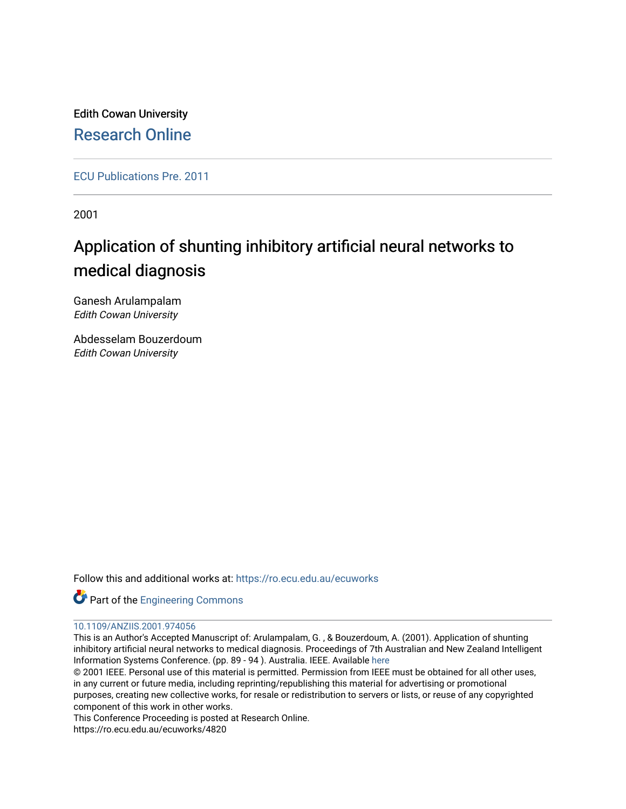Edith Cowan University [Research Online](https://ro.ecu.edu.au/) 

[ECU Publications Pre. 2011](https://ro.ecu.edu.au/ecuworks)

2001

# Application of shunting inhibitory artificial neural networks to medical diagnosis

Ganesh Arulampalam Edith Cowan University

Abdesselam Bouzerdoum Edith Cowan University

Follow this and additional works at: [https://ro.ecu.edu.au/ecuworks](https://ro.ecu.edu.au/ecuworks?utm_source=ro.ecu.edu.au%2Fecuworks%2F4820&utm_medium=PDF&utm_campaign=PDFCoverPages) 



## [10.1109/ANZIIS.2001.974056](http://dx.doi.org/10.1109/ANZIIS.2001.974056)

This is an Author's Accepted Manuscript of: Arulampalam, G. , & Bouzerdoum, A. (2001). Application of shunting inhibitory artificial neural networks to medical diagnosis. Proceedings of 7th Australian and New Zealand Intelligent Information Systems Conference. (pp. 89 - 94 ). Australia. IEEE. Available [here](http://dx.doi.org/10.1109/ANZIIS.2001.974056)

© 2001 IEEE. Personal use of this material is permitted. Permission from IEEE must be obtained for all other uses, in any current or future media, including reprinting/republishing this material for advertising or promotional purposes, creating new collective works, for resale or redistribution to servers or lists, or reuse of any copyrighted component of this work in other works.

This Conference Proceeding is posted at Research Online.

https://ro.ecu.edu.au/ecuworks/4820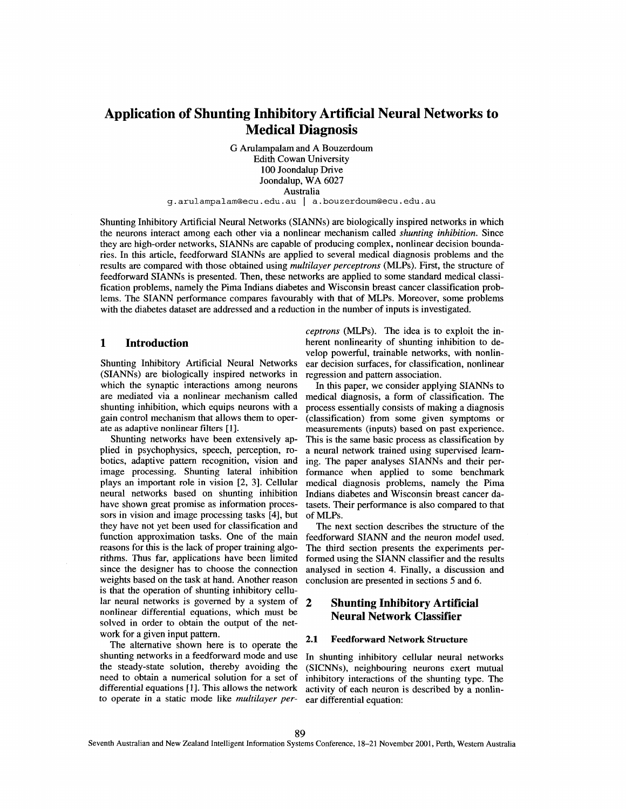# **Application of Shunting Inhibitory Artificial Neural Networks to Medical Diagnosis**

G Arulampalam and A Bouzerdoum Edith Cowan University 100 Joondalup Drive Joondalup, WA 6027 Australia

**g.arulampalam@ecu.edu.au** I **a.bouzerdoum@ecu.edu.au** 

Shunting Inhibitory Artificial Neural Networks (SIANNs) are biologically inspired networks in which the neurons interact among each other via a nonlinear mechanism called *shunting inhibition.* Since they are high-order networks, SIANNs are capable of producing complex, nonlinear decision boundaries. In this article, feedforward SIANNs are applied to several medical diagnosis problems and the results are compared with those obtained using *multilayer perceptruns* (MLPs). First, the structure of feedforward SIANNs is presented. Then, these networks are applied to some standard medical classification problems, namely the Pima Indians diabetes and Wisconsin breast cancer classification problems. The SIANN performance compares favourably with that of **MLPs.** Moreover, some problems with the diabetes dataset are addressed and a reduction in the number of inputs is investigated.

#### **1 Introduction**

Shunting Inhibitory Artificial Neural Networks (SIANNs) are biologically inspired networks in which the synaptic interactions among neurons are mediated via a nonlinear mechanism called shunting inhibition, which equips neurons with a gain control mechanism that allows them to operate as adaptive nonlinear filters [1].

Shunting networks have been extensively applied in psychophysics, speech, perception, robotics, adaptive pattern recognition, vision and image processing. Shunting lateral inhibition plays an important role in vision [2, **31.** Cellular neural networks based on shunting inhibition have shown great promise as information processors in vision and image processing tasks [4], but they have not yet been used for classification and function approximation tasks. One of the main reasons for this is the lack of proper training algorithms. Thus far, applications have been limited since the designer has to choose the connection weights based on the task at hand. Another reason is that the operation of shunting inhibitory cellular neural networks is governed by a system of nonlinear differential equations, which must be solved in order to obtain the output of the network for a given input pattern.

The alternative shown here is to operate the shunting networks in a feedforward mode and use the steady-state solution, thereby avoiding the need to obtain a numerical solution for a set of differential equations [I]. This allows the network to operate in a static mode like *multilayer per-*

*ceptrons* (MLPs). The idea is to exploit the inherent nonlinearity of shunting inhibition to develop powerful, trainable networks, with nonlinear decision surfaces, for classification, nonlinear regression and pattern association.

In this paper, we consider applying **SIANNs** to medical diagnosis, a form of classification. The process essentially consists of making a diagnosis (classification) from some given symptoms or measurements (inputs) based on past experience. This is the same basic process as classification by a neural network trained using supervised learning. The paper analyses SIANNs and their performance when applied to some benchmark medical diagnosis problems, namely the Pima Indians diabetes and Wisconsin breast cancer datasets. Their performance is also compared to that of MLPs.

The next section describes the structure of the feedforward SIANN and the neuron model used. The third section presents the experiments performed using the SIANN classifier and the results analysed in section **4.** Finally, a discussion and conclusion are presented in sections 5 and 6.

# **2 Shunting Inhibitory Artificial Neural Network Classifier**

#### **2.1 Feedforward Network Structure**

In shunting inhibitory cellular neural networks (SICNNs), neighbouring neurons exert mutual inhibitory interactions of the shunting type. The activity of each neuron is described by a nonlinear differential equation: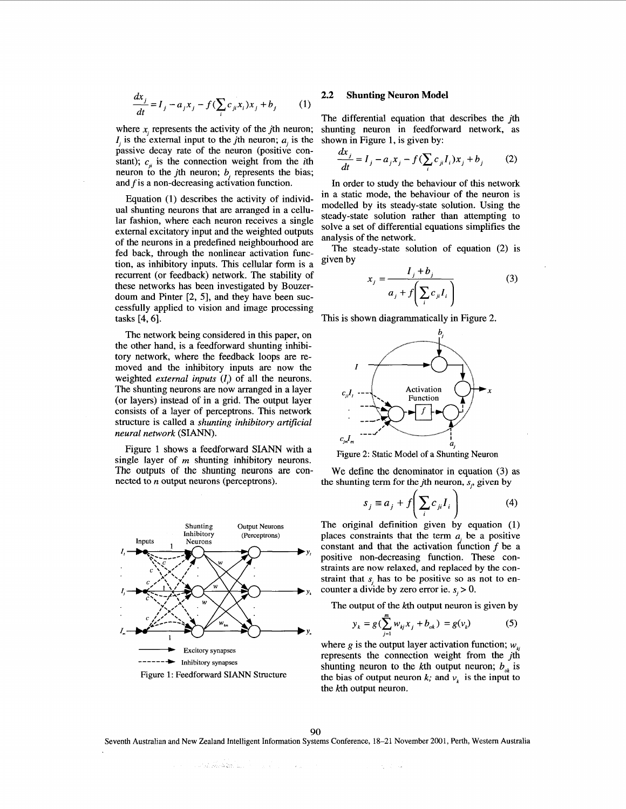$$
\frac{dx_j}{dt} = I_j - a_j x_j - f(\sum_i c_{ji} x_i) x_j + b_j \tag{1}
$$

where  $x_i$  represents the activity of the *j*th neuron;  $\overline{I}$ , is the external input to the *j*th neuron;  $\overline{a}$ , is the passive decay rate of the neuron (positive constant);  $c_n$  is the connection weight from the *i*th neuron to the *j*th neuron;  $b$ , represents the bias; and  $f$  is a non-decreasing activation function.

Equation (1) describes the activity of individual shunting neurons that are arranged in a cellular fashion, where each neuron receives a single external excitatory input and the weighted outputs of the neurons in a predefined neighbourhood are fed back, through the nonlinear activation function, as inhibitory inputs. This cellular form is a recurrent (or feedback) network. The stability of these networks has been investigated by Bouzerdoum and Pinter [2, 5], and they have been successfully applied to vision and image processing tasks [4,6].

The network being considered in this paper, on the other hand, is a feedforward shunting inhibitory network, where the feedback loops are removed and the inhibitory inputs are now the weighted *external inputs* (*I<sub>i</sub>*) of all the neurons. The shunting neurons are now arranged in a layer (or layers) instead of in a grid. The output layer consists of a layer of perceptrons. This network structure is called a *shunting inhibitory artificial neural network* **(SIANN).** 

Figure 1 shows a feedforward SIANN with a single layer of *m* shunting inhibitory neurons. The outputs of the shunting neurons are connected to *n* output neurons (perceptrons).



#### **2.2 Shunting Neuron Model**

The differential equation that describes the *j*th shunting neuron in feedforward network, as shown in Figure 1, is given by:

$$
\frac{dx_j}{dt} = I_j - a_j x_j - f(\sum_i c_{ji} I_i) x_j + b_j
$$
 (2)

In order to study the behaviour of this network in a static mode, the behaviour of the neuron is modelled by its steady-state solution. Using the steady-state solution rather than attempting to solve a set of differential equations simplifies the analysis of the network.

The steady-state solution of equation (2) is given by

$$
x_j = \frac{I_j + b_j}{a_j + f\left(\sum_i c_{ji} I_i\right)}\tag{3}
$$

This is shown diagrammatically in Figure 2.



We define the denominator in equation (3) as the shunting term for the *j*th neuron,  $s_i$ , given by

$$
s_j \equiv a_j + f\left(\sum_i c_{ji} I_i\right) \tag{4}
$$

The original definition given by equation (1) places constraints that the term  $a_i$  be a positive constant and that the activation function  $f$  be a positive non-decreasing function. These constraints are now relaxed, and replaced by the constraint that  $s_i$  has to be positive so as not to encounter a divide by zero error ie.  $s_i > 0$ .

The output of the kth output neuron is given by

$$
y_k = g(\sum_{j=1}^m w_{kj} x_j + b_{ok}) = g(v_k)
$$
 (5)

where g is the output layer activation function;  $w_{\mu}$ represents the connection weight from the jth shunting neuron to the *k*th output neuron;  $b_{\alpha k}$  is the bias of output neuron *k*; and  $v_k$  is the input to the kth output neuron.

**90** 

Seventh Australian and **New** Zealand Intelligent Information Systems Conference, **18-21** November 2001, Perth, Western Australia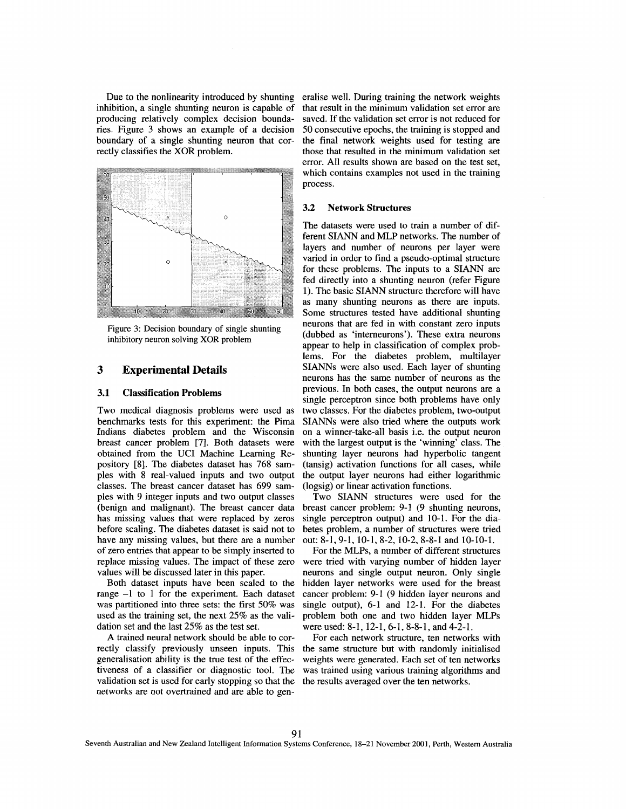inhibition, a single shunting neuron is capable of producing relatively complex decision boundaries. Figure **3** shows an example of a decision boundary of a single shunting neuron that correctly classifies the XOR problem.



Figure 3: Decision boundary of single shunting inhibitory neuron solving XOR problem

### **3 Experimental Details**

#### **3.1 Classification Problems**

Two medical diagnosis problems were used as benchmarks tests for this experiment: the Pima Indians diabetes problem and the Wisconsin breast cancer problem [7]. Both datasets were obtained from the UCI Machine Learning Repository [8]. The diabetes dataset has 768 samples with **8** real-valued inputs and two output classes. The breast cancer dataset has 699 samples with 9 integer inputs and two output classes (benign and malignant). The breast cancer data has missing values that were replaced by zeros before scaling. The diabetes dataset is said not to have any missing values, but there are a number of zero entries that appear to be simply inserted to replace missing values. The impact of these zero values will be discussed later in this paper.

Both dataset inputs have been scaled to the range -1 to 1 for the experiment. Each dataset was partitioned into three sets: the first 50% was used as the training set, the next 25% as the validation set and the last 25% as the test set.

A trained neural network should be able to correctly classify previously unseen inputs. This the same structure but with randomly initialised generalisation ability is the true test of the effectiveness of a classifier or diagnostic tool. The was trained using various training algorithms and validation set is used for early stopping so that the the results averaged over the ten networks. networks are not overtrained and are able to gen-

Due to the nonlinearity introduced by shunting eralise well. During training the network weights that result in the minimum validation set error are saved. If the validation set error is not reduced for 50 consecutive epochs, the training is stopped and the final network weights used for testing are those that resulted in the minimum validation set error. All results shown are based on the test set, which contains examples not used in the training process.

#### **3.2 Network Structures**

The datasets were used to train a number of different SIANN and MLP networks. The number of layers and number of neurons per layer were varied in order to find a pseudo-optimal structure for these problems. The inputs to a **SIANN** are fed directly into a shunting neuron (refer Figure 1). The basic SIANN structure therefore will have as many shunting neurons **as** there are inputs. Some structures tested have additional shunting neurons that are fed in with constant zero inputs (dubbed as 'interneurons'). These extra neurons appear to help in classification of complex problems. For the diabetes problem, multilayer SIANNs were also used. Each layer of shunting neurons has the same number of neurons as the previous. In both cases, the output neurons are a single perceptron since both problems have only two classes. For the diabetes problem, two-output **SIANNs** were also tried where the outputs work on a winner-take-all basis i.e. the output neuron with the largest output is the 'winning' class. The shunting layer neurons had hyperbolic tangent (tansig) activation functions for all cases, while the output layer neurons had either logarithmic (logsig) or linear activation functions.

Two **SIANN** structures were used for the breast cancer problem: 9-1 (9 shunting neurons, single perceptron output) and 10-1. For the diabetes problem, a number of structures were tried out: 8-1, 9-1, 10-1, 8-2, 10-2, 8-8-1 and 10-10-1.

For the MLPs, a number of different structures were tried with varying number of hidden layer neurons and single output neuron. Only single hidden layer networks were used for the breast cancer problem: 9-1 (9 hidden layer neurons and single output), 6-1 and 12-1. For the diabetes problem both one and two hidden layer MLPs were used: 8-1, 12-1, 6-1, 8-8-1, and 4-2-1.

For each network structure, ten networks with weights were generated. Each set of ten networks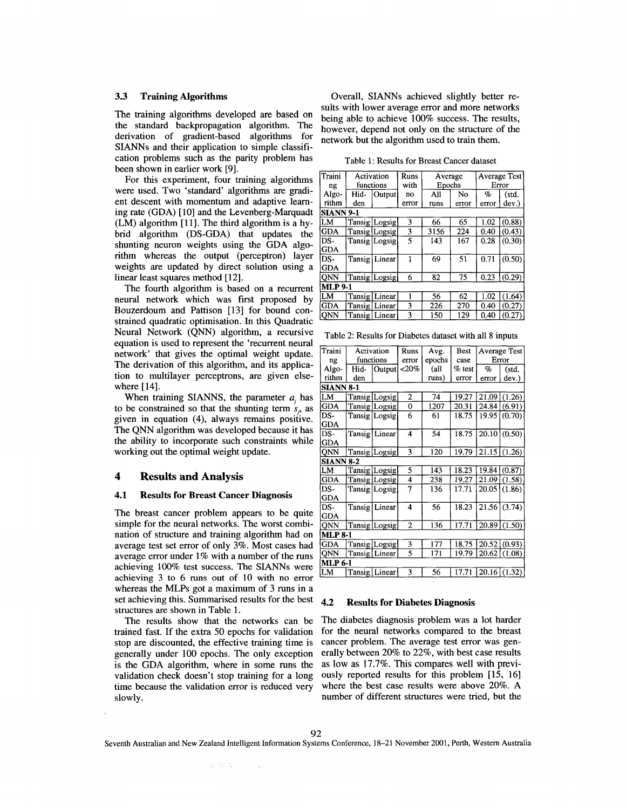derivation of gradient-based algorithms SIANNs and their application to simple classification problems such as the parity problem has been shown in earlier work [9].

For this experiment, four training algorithms were used. Two 'standard' algorithms are gradient descent with momentum and adaptive learning rate (GDA) [10] and the Levenberg-Marquadt  $(LM)$  algorithm [11]. The third algorithm is a hybrid algorithm (DS-GDA) that updates the shunting neuron weights using the GDA algorithm whereas the output (perceptron) layer weights are updated by direct solution using a linear least squares method [12].

The fourth algorithm is based on a recurrent neural network which was first proposed by Bouzerdoum and Pattison **[13]** for bound con-Neural Network (QNN) algorithm, a recursive equation is used to represent the 'recurrent neural network' that gives the optimal weight update. The derivation of this algorithm, and its application to multilayer perceptrons, are given elsewhere  $[14]$ .

When training SIANNS, the parameter  $a_i$ , has to be constrained so that the shunting term  $s_n$  as given in equation (4), always remains positive. The QNN algorithm was developed because it has the ability to incorporate such constraints while working out the optimal weight update.

#### $\overline{\mathbf{4}}$ **Results and Analysis**

#### $4.1$ **Results for Breast Cancer Diagnosis**

The breast cancer problem appears to be quite simple for the neural networks. The worst combination of structure and training algorithm had on average test set error of only 3%. Most cases had average error under 1% with a number of the runs achieving 100% test success. The SIANNs were achieving 3 to 6 runs out of 10 with no error whereas the MLPs got a maximum of 3 runs in a set achieving this. Summarised results for the best structures are shown in Table 1.

The results show that the networks can be trained fast. If the extra 50 epochs for validation stop are discounted, the effective training time is generally under 100 epochs. The only exception is the GDA algorithm, where in some runs the validation check doesn't stop training for a long time because the validation error is reduced very slowly.

alle Producti

 $\sim \eta_{\rm in} \gamma_{\rm in}$ 

**3.3 Training Algorithms Coverall, SIANNs achieved slightly better re**sults with lower average error and more networks The training algorithms developed are based on being able to achieve  $100\%$  success. The results,<br>the standard backpropagation algorithm. The being able to achieve 100% success. The results, however, depend not only on the structure of the network but the algorithm used to train them.

Table 1: Results for Breast Cancer dataset

| Traini           | Activation |                 | Runs  | Average |       | Average Test |        |  |
|------------------|------------|-----------------|-------|---------|-------|--------------|--------|--|
| ng               | functions  |                 | with  | Epochs  |       | Error        |        |  |
| Algo-            | Hid-       | Output          | no    | All     | No    | $\%$         | (std.  |  |
| rithm            | den        |                 | error | runs    | error | error        | dev.   |  |
| <b>SIANN 9-1</b> |            |                 |       |         |       |              |        |  |
| LM               |            | Tansig Logsig   | 3     | 66      | 65    | 1.02         | (0.88) |  |
| <b>GDA</b>       |            | Tansig Logsig   | 3     | 3156    | 224   | 0.40         | (0.43) |  |
| DS-              |            | Tansig Logsig   | 5     | 143     | 167   | 0.28         | (0.30) |  |
| <b>GDA</b>       |            |                 |       |         |       |              |        |  |
| DS-              |            | Tansig Linear   | 1     | 69      | 51    | 0.71         | (0.50) |  |
| <b>GDA</b>       |            |                 |       |         |       |              |        |  |
| <b>ONN</b>       |            | Tansig Logsig   | 6     | 82      | 75    | 0.23         | (0.29) |  |
| <b>MLP 9-1</b>   |            |                 |       |         |       |              |        |  |
| LM               |            | Tansig Linear   |       | 56      | 62    | 1.02         | (1.64) |  |
| <b>GDA</b>       |            | Tansig   Linear | 3     | 226     | 270   | 0.40         | (0.27) |  |
| QNN              |            | Tansig   Linear | 3     | 150     | 129   | 0.40         | (0.27) |  |

Table 2: Results for Diabetes dataset with all 8 inputs

| Traini           | Activation      |                 | Runs                    | Avg.   | Best     |                | Average Test              |  |
|------------------|-----------------|-----------------|-------------------------|--------|----------|----------------|---------------------------|--|
| ng               | functions       |                 | error                   | epochs | case     |                | Error                     |  |
| Algo-            | Hid-            | Output          | $<$ 20%                 | (all   | $%$ test | %              | (std.                     |  |
| rithm            | den             |                 |                         | runs)  | error    | error          | dev.)                     |  |
| <b>SIANN 8-1</b> |                 |                 |                         |        |          |                |                           |  |
| LM               |                 | Tansig Logsig   | 2                       | 74     | 19.27    | 21.091         | (1.26)                    |  |
| <b>GDA</b>       |                 | Tansig Logsig   | 0                       | 1207   | 20.31    | 24.84          | (6.91)                    |  |
| DS-              |                 | Tansig Logsig   | 6                       | 61     | 18.75    | 19.95          | (0.70)                    |  |
| GDA              |                 |                 |                         |        |          |                |                           |  |
| DS-              |                 | Tansig Linear   | 4                       | 54     | 18.75    | 20.10          | (0.50)                    |  |
| <b>GDA</b>       |                 |                 |                         |        |          |                |                           |  |
| QNN              |                 | Tansig Logsig   | 3                       | 120    | 19.79    |                | $\overline{21.15}$ (1.26) |  |
| <b>SIANN 8-2</b> |                 |                 |                         |        |          |                |                           |  |
| LМ               |                 | Tansig Logsig   | 5                       | 143    | 18.23    | 19.84 (0.87)   |                           |  |
| <b>GDA</b>       |                 | Tansig Logsig   | 4                       | 238    | 19.27    | 21.09          | (1.58)                    |  |
| DS-              |                 | Tansig Logsig   | 7                       | 136    | 17.71    | 20.05          | (1.86)                    |  |
| <b>GDA</b>       |                 |                 |                         |        |          |                |                           |  |
| DS-              | Tansig   Linear |                 | $\overline{\mathbf{4}}$ | 56     | 18.23    |                | $21.56$ (3.74)            |  |
| <b>GDA</b>       |                 |                 |                         |        |          |                |                           |  |
| QNN              |                 | Tansig Logsig   | $\mathbf{2}$            | 136    | 17.71    | $20.89$ (1.50) |                           |  |
| MLP 8-1          |                 |                 |                         |        |          |                |                           |  |
| <b>GDA</b>       |                 | Tansig Logsig   | 3                       | 177    | 18.75    |                | 20.52 (0.93)              |  |
| ONN              |                 | Tansig   Linear | 5                       | 171    | 19.79    | 20.62          | (1.08)                    |  |
| MLP 6-1          |                 |                 |                         |        |          |                |                           |  |
| LМ               |                 | Tansig   Linear | 3                       | 56     | 17.71    |                | $20.16$ (1.32)            |  |
|                  |                 |                 |                         |        |          |                |                           |  |

#### $4.2$ **Results for Diabetes Diagnosis**

The diabetes diagnosis problem was a lot harder for the neural networks compared to the breast cancer problem. The average test error was generally between 20% to 22%, with best case results as low as 17.7%. This compares well with previously reported results for this problem [15, 16] where the best case results were above 20%. A number of different structures were tried, but the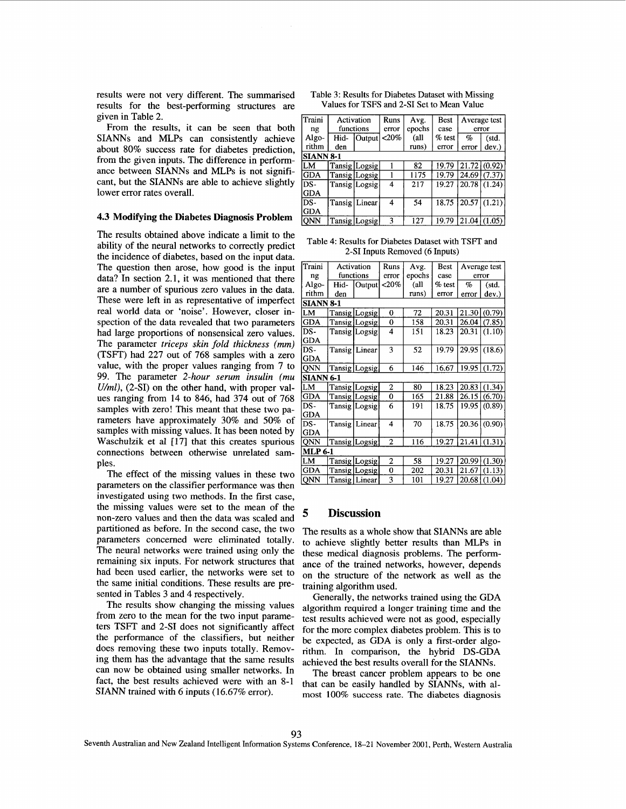results were not very different. The summarised results for the best-performing structures are given in Table 2.

From the results, it can be seen that both SIANNs and MLPs can consistently achieve about 80% success rate for diabetes prediction, from the given inputs. The difference in performance between **SIANNs** and MLPs is not significant, but the SIANNs are able to achieve slightly lower error rates overall.

#### **4.3 Modifying the Diabetes Diagnosis Problem**

The results obtained above indicate a limit to the ability of the neural networks to correctly predict the incidence of diabetes, based on the input data. The question then arose, how good is the input data? In section 2.1, it was mentioned that there are a number of spurious zero values in the data. These were left in as representative of imperfect real world data or 'noise'. However, closer inspection of the data revealed that two parameters had large proportions of nonsensical zero values. The parameter *triceps skin fold thickness (mm)*  (TSFT) had 227 out of 768 samples with a zero value, with the proper values ranging from 7 to 99. The parameter *2-hour serum insulin (mu U/ml),* (2-SI) on the other hand, with proper values ranging from 14 to 846, had 374 out of 768 samples with zero! This meant that these two parameters have approximately 30% and 50% of samples with missing values. It has been noted by Waschulzik et al [17] that this creates spurious connections between otherwise unrelated samples.

The effect of the missing values in these two parameters on the classifier performance was then investigated using two methods. In the first case, the missing values were set to the mean of the non-zero values and then the data was scaled and partitioned as before. In the second case, the two parameters concerned were eliminated totally. The neural networks were trained using only the remaining six inputs. For network structures that had been used earlier, the networks were set to the same initial conditions. These results are presented in Tables **3** and 4 respectively.

The results show changing the missing values from zero to the mean for the two input parameters TSFT and 2-SI does not significantly affect the performance of the classifiers, but neither does removing these two inputs totally. Removing them has the advantage that the same results can now be obtained using smaller networks. In fact, the best results achieved were with an 8-1 **SIANN** trained with 6 inputs (16.67% error).

| Table 3: Results for Diabetes Dataset with Missing |  |  |
|----------------------------------------------------|--|--|
| Values for TSFS and 2-SI Set to Mean Value         |  |  |

| Traini<br>ng | Activation<br>functions |                 | Runs<br>error | Avg.<br>epochs | Best<br>case | Average test<br>error |                     |  |
|--------------|-------------------------|-----------------|---------------|----------------|--------------|-----------------------|---------------------|--|
| Algo-        | Hid-                    | Output          | $< 20\%$      | (all           | $%$ test     | $\%$                  | (std.               |  |
| rithm        | den                     |                 |               | runs)          | error        | error                 | dev.                |  |
|              | <b>SIANN 8-1</b>        |                 |               |                |              |                       |                     |  |
| LМ           |                         | Tansig Logsig   |               | 82             | 19.79        |                       | $21.72 \mid (0.92)$ |  |
| <b>GDA</b>   |                         | Tansig Logsig   |               | 1175           | 19.79        | 24.69                 | (7.37)              |  |
| DS-          |                         | Tansig Logsig   | 4             | 217            | 19.27        | 20.78                 | (1.24)              |  |
| <b>GDA</b>   |                         |                 |               |                |              |                       |                     |  |
| DS-          |                         | Tansig   Linear | 4             | 54             | 18.75        | 20.57                 | (1.21)              |  |
| <b>GDA</b>   |                         |                 |               |                |              |                       |                     |  |
| <b>ONN</b>   |                         | Tansig Logsig   | 3             | 127            | 19.79        | 21.04                 | (1.05)              |  |

Table **4:** Results **for** Diabetes Dataset with TSFT **and**  2-SI Inputs Removed **(6** Inputs)

| Traini           | Activation |                  | Runs  | Avg.   | Best      |       | Average test        |  |
|------------------|------------|------------------|-------|--------|-----------|-------|---------------------|--|
| ng               | functions  |                  | error | epochs | case      | error |                     |  |
| Algo-            | Hid-       | Output $ $ < 20% |       | (all   | $\%$ test | %     | (std.               |  |
| rithm            | den        |                  |       | runs)  | error     | error | dev.)               |  |
| <b>SIANN 8-1</b> |            |                  |       |        |           |       |                     |  |
| LM               |            | Tansig Logsig    | 0     | 72     | 20.31     | 21.30 | (0.79)              |  |
| <b>GDA</b>       |            | Tansig   Logsig  | 0     | 158    | 20.31     | 26.04 | (7.85)              |  |
| DS-              |            | Tansig   Logsig  | 4     | 151    | 18.23     | 20.31 | (1.10)              |  |
| <b>GDA</b>       |            |                  |       |        |           |       |                     |  |
| DS-              |            | Tansig Linear    | 3     | 52     | 19.79     | 29.95 | (18.6)              |  |
| <b>GDA</b>       |            |                  |       |        |           |       |                     |  |
| QNN              |            | Tansig   Logsig  | 6     | 146    | 16.67     | 19.95 | (1.72)              |  |
| <b>SIANN 6-1</b> |            |                  |       |        |           |       |                     |  |
| lLМ              |            | Tansig Logsig    | 2     | 80     | 18.23     | 20.83 | (1.34)              |  |
| GDA              |            | Tansig   Logsig  | 0     | 165    | 21.88     | 26.15 | (6.70)              |  |
| DS-              |            | Tansig Logsig    | 6     | 191    | 18.75     | 19.95 | (0.89)              |  |
| <b>GDA</b>       |            |                  |       |        |           |       |                     |  |
| DS-              | Tansig     | Linear           | 4     | 70     | 18.75     | 20.36 | (0.90)              |  |
| GDA              |            |                  |       |        |           |       |                     |  |
| QNN              |            | Tansig  Logsig   | 2     | 116    | 19.27     |       | $21.41 \mid (1.31)$ |  |
| <b>MLP 6-1</b>   |            |                  |       |        |           |       |                     |  |
| LM               |            | Tansig   Logsig  | 2     | 58     | 19.27     | 20.99 | (1.30)              |  |
| <b>GDA</b>       |            | Tansig Logsig    | 0     | 202    | 20.31     | 21.67 | (1.13)              |  |
| <b>ONN</b>       |            | Tansig   Linear  | 3     | 101    | 19.27     | 20.68 | (1.04)              |  |

#### *5* **Discussion**

The results as a whole show that SIANNs are able to achieve slightly better results than MLPs in these medical diagnosis problems. The performance of the trained networks, however, depends on the structure of the network as well as the training algorithm used.

Generally, the networks trained using the GDA algorithm required a longer training time and the test results achieved were not as good, especially for the more complex diabetes problem. This is to be expected, as GDA is only a first-order algorithm. In comparison, the hybrid DS-GDA achieved the best results overall for the SIANNs.

The breast cancer problem appears to be one that can be easily handled by **SIANNs,** with almost 100% success rate. The diabetes diagnosis